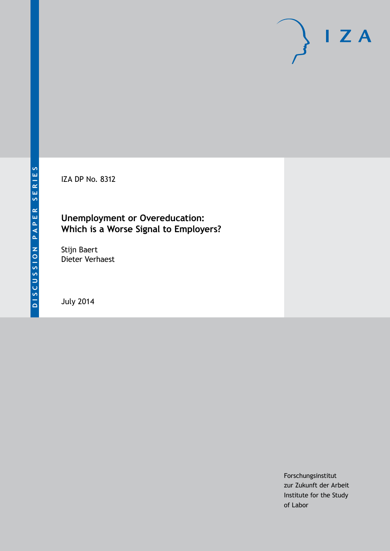IZA DP No. 8312

# **Unemployment or Overeducation: Which is a Worse Signal to Employers?**

Stijn Baert Dieter Verhaest

July 2014

Forschungsinstitut zur Zukunft der Arbeit Institute for the Study of Labor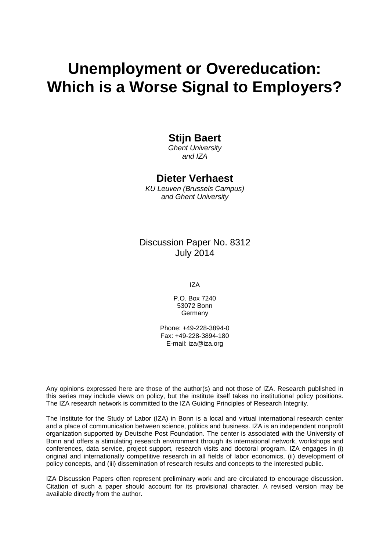# **Unemployment or Overeducation: Which is a Worse Signal to Employers?**

# **Stijn Baert**

*Ghent University and IZA*

# **Dieter Verhaest**

*KU Leuven (Brussels Campus) and Ghent University*

Discussion Paper No. 8312 July 2014

IZA

P.O. Box 7240 53072 Bonn **Germany** 

Phone: +49-228-3894-0 Fax: +49-228-3894-180 E-mail: [iza@iza.org](mailto:iza@iza.org)

Any opinions expressed here are those of the author(s) and not those of IZA. Research published in this series may include views on policy, but the institute itself takes no institutional policy positions. The IZA research network is committed to the IZA Guiding Principles of Research Integrity.

The Institute for the Study of Labor (IZA) in Bonn is a local and virtual international research center and a place of communication between science, politics and business. IZA is an independent nonprofit organization supported by Deutsche Post Foundation. The center is associated with the University of Bonn and offers a stimulating research environment through its international network, workshops and conferences, data service, project support, research visits and doctoral program. IZA engages in (i) original and internationally competitive research in all fields of labor economics, (ii) development of policy concepts, and (iii) dissemination of research results and concepts to the interested public.

IZA Discussion Papers often represent preliminary work and are circulated to encourage discussion. Citation of such a paper should account for its provisional character. A revised version may be available directly from the author.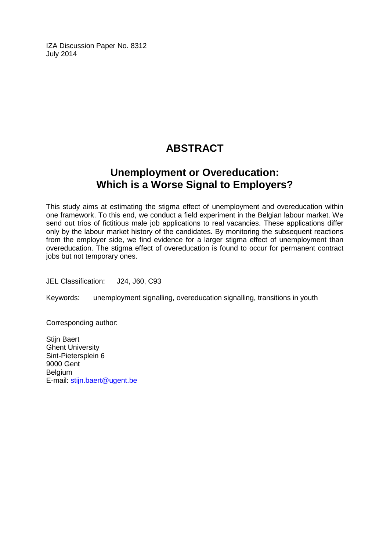IZA Discussion Paper No. 8312 July 2014

# **ABSTRACT**

# **Unemployment or Overeducation: Which is a Worse Signal to Employers?**

This study aims at estimating the stigma effect of unemployment and overeducation within one framework. To this end, we conduct a field experiment in the Belgian labour market. We send out trios of fictitious male job applications to real vacancies. These applications differ only by the labour market history of the candidates. By monitoring the subsequent reactions from the employer side, we find evidence for a larger stigma effect of unemployment than overeducation. The stigma effect of overeducation is found to occur for permanent contract jobs but not temporary ones.

JEL Classification: J24, J60, C93

Keywords: unemployment signalling, overeducation signalling, transitions in youth

Corresponding author:

Stijn Baert Ghent University Sint-Pietersplein 6 9000 Gent Belgium E-mail: [stijn.baert@ugent.be](mailto:stijn.baert@ugent.be)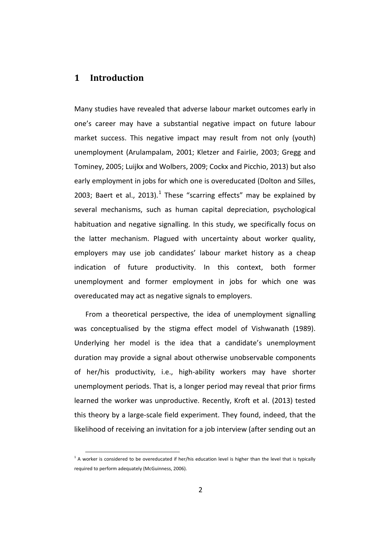# **1 Introduction**

Many studies have revealed that adverse labour market outcomes early in one's career may have a substantial negative impact on future labour market success. This negative impact may result from not only (youth) unemployment (Arulampalam, 2001; Kletzer and Fairlie, 2003; Gregg and Tominey, 2005; Luijkx and Wolbers, 2009; Cockx and Picchio, 2013) but also early employment in jobs for which one is overeducated (Dolton and Silles, 2003; Baert et al., 2013).<sup>1</sup> These "scarring effects" may be explained by several mechanisms, such as human capital depreciation, psychological habituation and negative signalling. In this study, we specifically focus on the latter mechanism. Plagued with uncertainty about worker quality, employers may use job candidates' labour market history as a cheap indication of future productivity. In this context, both former unemployment and former employment in jobs for which one was overeducated may act as negative signals to employers.

<span id="page-3-0"></span>From a theoretical perspective, the idea of unemployment signalling was conceptualised by the stigma effect model of Vishwanath (1989). Underlying her model is the idea that a candidate's unemployment duration may provide a signal about otherwise unobservable components of her/his productivity, i.e., high-ability workers may have shorter unemployment periods. That is, a longer period may reveal that prior firms learned the worker was unproductive. Recently, Kroft et al. (2013) tested this theory by a large-scale field experiment. They found, indeed, that the likelihood of receiving an invitation for a job interview (after sending out an

 $1$  A worker is considered to be overeducated if her/his education level is higher than the level that is typically required to perform adequately (McGuinness, 2006).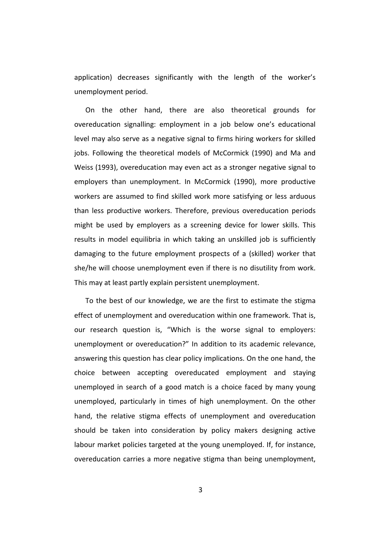application) decreases significantly with the length of the worker's unemployment period.

On the other hand, there are also theoretical grounds for overeducation signalling: employment in a job below one's educational level may also serve as a negative signal to firms hiring workers for skilled jobs. Following the theoretical models of McCormick (1990) and Ma and Weiss (1993), overeducation may even act as a stronger negative signal to employers than unemployment. In McCormick (1990), more productive workers are assumed to find skilled work more satisfying or less arduous than less productive workers. Therefore, previous overeducation periods might be used by employers as a screening device for lower skills. This results in model equilibria in which taking an unskilled job is sufficiently damaging to the future employment prospects of a (skilled) worker that she/he will choose unemployment even if there is no disutility from work. This may at least partly explain persistent unemployment.

To the best of our knowledge, we are the first to estimate the stigma effect of unemployment and overeducation within one framework. That is, our research question is, "Which is the worse signal to employers: unemployment or overeducation?" In addition to its academic relevance, answering this question has clear policy implications. On the one hand, the choice between accepting overeducated employment and staying unemployed in search of a good match is a choice faced by many young unemployed, particularly in times of high unemployment. On the other hand, the relative stigma effects of unemployment and overeducation should be taken into consideration by policy makers designing active labour market policies targeted at the young unemployed. If, for instance, overeducation carries a more negative stigma than being unemployment,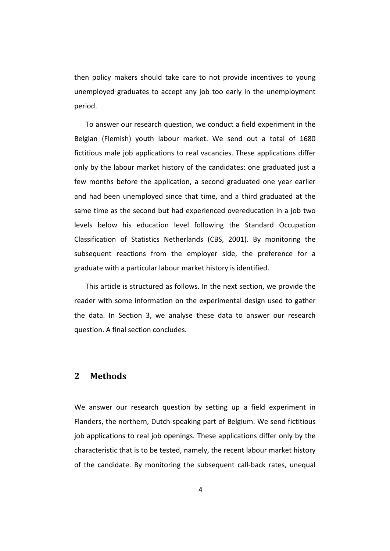then policy makers should take care to not provide incentives to young unemployed graduates to accept any job too early in the unemployment period.

To answer our research question, we conduct a field experiment in the Belgian (Flemish) youth labour market. We send out a total of 1680 fictitious male job applications to real vacancies. These applications differ only by the labour market history of the candidates: one graduated just a few months before the application, a second graduated one year earlier and had been unemployed since that time, and a third graduated at the same time as the second but had experienced overeducation in a job two levels below his education level following the Standard Occupation Classification of Statistics Netherlands (CBS, 2001). By monitoring the subsequent reactions from the employer side, the preference for a graduate with a particular labour market history is identified.

This article is structured as follows. In the next section, we provide the reader with some information on the experimental design used to gather the data. In Section 3, we analyse these data to answer our research question. A final section concludes.

# **2 Methods**

We answer our research question by setting up a field experiment in Flanders, the northern, Dutch-speaking part of Belgium. We send fictitious job applications to real job openings. These applications differ only by the characteristic that is to be tested, namely, the recent labour market history of the candidate. By monitoring the subsequent call-back rates, unequal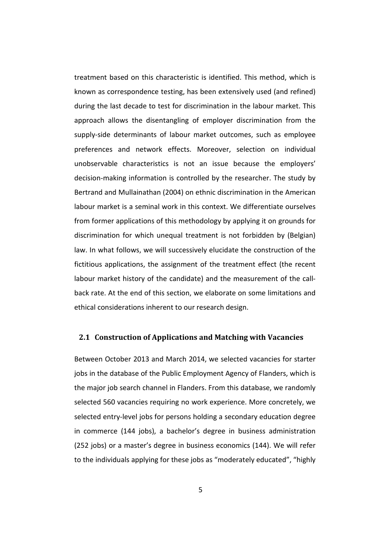treatment based on this characteristic is identified. This method, which is known as correspondence testing, has been extensively used (and refined) during the last decade to test for discrimination in the labour market. This approach allows the disentangling of employer discrimination from the supply-side determinants of labour market outcomes, such as employee preferences and network effects. Moreover, selection on individual unobservable characteristics is not an issue because the employers' decision-making information is controlled by the researcher. The study by Bertrand and Mullainathan (2004) on ethnic discrimination in the American labour market is a seminal work in this context. We differentiate ourselves from former applications of this methodology by applying it on grounds for discrimination for which unequal treatment is not forbidden by (Belgian) law. In what follows, we will successively elucidate the construction of the fictitious applications, the assignment of the treatment effect (the recent labour market history of the candidate) and the measurement of the callback rate. At the end of this section, we elaborate on some limitations and ethical considerations inherent to our research design.

#### **2.1 Construction of Applications and Matching with Vacancies**

Between October 2013 and March 2014, we selected vacancies for starter jobs in the database of the Public Employment Agency of Flanders, which is the major job search channel in Flanders. From this database, we randomly selected 560 vacancies requiring no work experience. More concretely, we selected entry-level jobs for persons holding a secondary education degree in commerce (144 jobs), a bachelor's degree in business administration (252 jobs) or a master's degree in business economics (144). We will refer to the individuals applying for these jobs as "moderately educated", "highly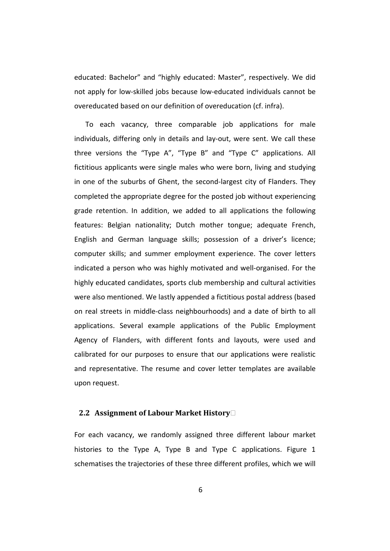educated: Bachelor" and "highly educated: Master", respectively. We did not apply for low-skilled jobs because low-educated individuals cannot be overeducated based on our definition of overeducation (cf. infra).

To each vacancy, three comparable job applications for male individuals, differing only in details and lay-out, were sent. We call these three versions the "Type A", "Type B" and "Type C" applications. All fictitious applicants were single males who were born, living and studying in one of the suburbs of Ghent, the second-largest city of Flanders. They completed the appropriate degree for the posted job without experiencing grade retention. In addition, we added to all applications the following features: Belgian nationality; Dutch mother tongue; adequate French, English and German language skills; possession of a driver's licence; computer skills; and summer employment experience. The cover letters indicated a person who was highly motivated and well-organised. For the highly educated candidates, sports club membership and cultural activities were also mentioned. We lastly appended a fictitious postal address (based on real streets in middle-class neighbourhoods) and a date of birth to all applications. Several example applications of the Public Employment Agency of Flanders, with different fonts and layouts, were used and calibrated for our purposes to ensure that our applications were realistic and representative. The resume and cover letter templates are available upon request.

#### **2.2 Assignment of Labour Market History**

For each vacancy, we randomly assigned three different labour market histories to the Type A, Type B and Type C applications. Figure 1 schematises the trajectories of these three different profiles, which we will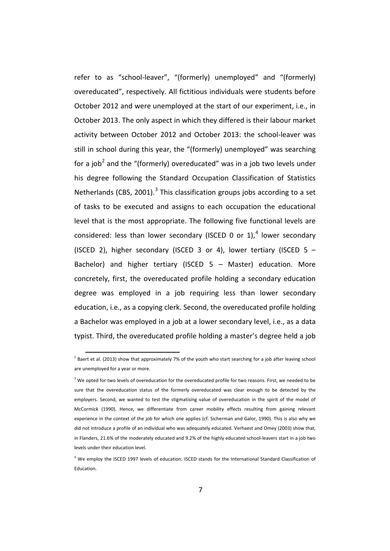refer to as "school-leaver", "(formerly) unemployed" and "(formerly) overeducated", respectively. All fictitious individuals were students before October 2012 and were unemployed at the start of our experiment, i.e., in October 2013. The only aspect in which they differed is their labour market activity between October 2012 and October 2013: the school-leaver was still in school during this year, the "(formerly) unemployed" was searching for a job<sup>[2](#page-3-0)</sup> and the "(formerly) overeducated" was in a job two levels under his degree following the Standard Occupation Classification of Statistics Netherlands (CBS, 2001).<sup>[3](#page-8-0)</sup> This classification groups jobs according to a set of tasks to be executed and assigns to each occupation the educational level that is the most appropriate. The following five functional levels are considered: less than lower secondary (ISCED 0 or 1),<sup>[4](#page-8-1)</sup> lower secondary (ISCED 2), higher secondary (ISCED 3 or 4), lower tertiary (ISCED 5 – Bachelor) and higher tertiary (ISCED 5 – Master) education. More concretely, first, the overeducated profile holding a secondary education degree was employed in a job requiring less than lower secondary education, i.e., as a copying clerk. Second, the overeducated profile holding a Bachelor was employed in a job at a lower secondary level, i.e., as a data typist. Third, the overeducated profile holding a master's degree held a job

 $^{2}$  Baert et al. (2013) show that approximately 7% of the youth who start searching for a job after leaving school are unemployed for a year or more.

<span id="page-8-2"></span><span id="page-8-0"></span> $3$  We opted for two levels of overeducation for the overeducated profile for two reasons. First, we needed to be sure that the overeducation status of the formerly overeducated was clear enough to be detected by the employers. Second, we wanted to test the stigmatising value of overeducation in the spirit of the model of McCormick (1990). Hence, we differentiate from career mobility effects resulting from gaining relevant experience in the context of the job for which one applies (cf. Sicherman and Galor, 1990). This is also why we did not introduce a profile of an individual who was adequately educated. Verhaest and Omey (2003) show that, in Flanders, 21.6% of the moderately educated and 9.2% of the highly educated school-leavers start in a job two levels under their education level.

<span id="page-8-1"></span><sup>4</sup> We employ the ISCED 1997 levels of education. ISCED stands for the International Standard Classification of Education.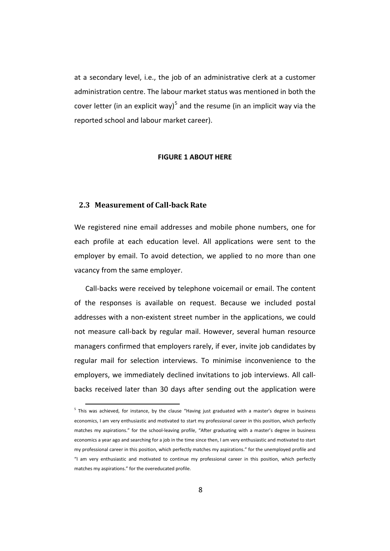at a secondary level, i.e., the job of an administrative clerk at a customer administration centre. The labour market status was mentioned in both the cover letter (in an explicit way)<sup>[5](#page-8-2)</sup> and the resume (in an implicit way via the reported school and labour market career).

#### **FIGURE 1 ABOUT HERE**

#### **2.3 Measurement of Call-back Rate**

We registered nine email addresses and mobile phone numbers, one for each profile at each education level. All applications were sent to the employer by email. To avoid detection, we applied to no more than one vacancy from the same employer.

Call-backs were received by telephone voicemail or email. The content of the responses is available on request. Because we included postal addresses with a non-existent street number in the applications, we could not measure call-back by regular mail. However, several human resource managers confirmed that employers rarely, if ever, invite job candidates by regular mail for selection interviews. To minimise inconvenience to the employers, we immediately declined invitations to job interviews. All callbacks received later than 30 days after sending out the application were

<span id="page-9-0"></span><sup>&</sup>lt;sup>5</sup> This was achieved, for instance, by the clause "Having just graduated with a master's degree in business economics, I am very enthusiastic and motivated to start my professional career in this position, which perfectly matches my aspirations." for the school-leaving profile, "After graduating with a master's degree in business economics a year ago and searching for a job in the time since then, I am very enthusiastic and motivated to start my professional career in this position, which perfectly matches my aspirations." for the unemployed profile and "I am very enthusiastic and motivated to continue my professional career in this position, which perfectly matches my aspirations." for the overeducated profile.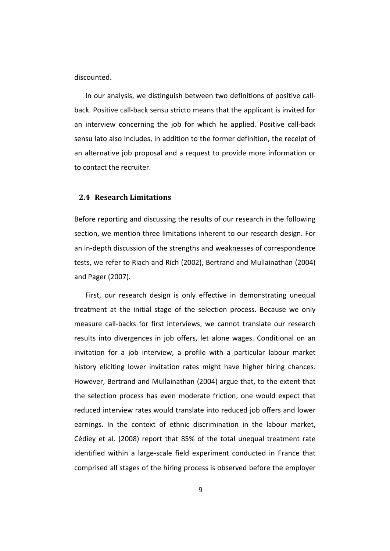discounted.

In our analysis, we distinguish between two definitions of positive callback. Positive call-back sensu stricto means that the applicant is invited for an interview concerning the job for which he applied. Positive call-back sensu lato also includes, in addition to the former definition, the receipt of an alternative job proposal and a request to provide more information or to contact the recruiter.

#### **2.4 Research Limitations**

Before reporting and discussing the results of our research in the following section, we mention three limitations inherent to our research design. For an in-depth discussion of the strengths and weaknesses of correspondence tests, we refer to Riach and Rich (2002), Bertrand and Mullainathan (2004) and Pager (2007).

First, our research design is only effective in demonstrating unequal treatment at the initial stage of the selection process. Because we only measure call-backs for first interviews, we cannot translate our research results into divergences in job offers, let alone wages. Conditional on an invitation for a job interview, a profile with a particular labour market history eliciting lower invitation rates might have higher hiring chances. However, Bertrand and Mullainathan (2004) argue that, to the extent that the selection process has even moderate friction, one would expect that reduced interview rates would translate into reduced job offers and lower earnings. In the context of ethnic discrimination in the labour market, Cédiey et al. (2008) report that 85% of the total unequal treatment rate identified within a large-scale field experiment conducted in France that comprised all stages of the hiring process is observed before the employer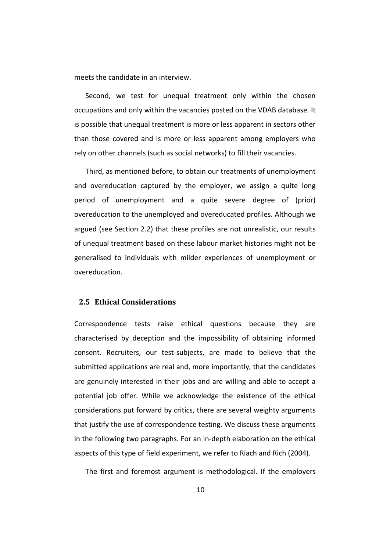meets the candidate in an interview.

Second, we test for unequal treatment only within the chosen occupations and only within the vacancies posted on the VDAB database. It is possible that unequal treatment is more or less apparent in sectors other than those covered and is more or less apparent among employers who rely on other channels (such as social networks) to fill their vacancies.

Third, as mentioned before, to obtain our treatments of unemployment and overeducation captured by the employer, we assign a quite long period of unemployment and a quite severe degree of (prior) overeducation to the unemployed and overeducated profiles. Although we argued (see Section 2.2) that these profiles are not unrealistic, our results of unequal treatment based on these labour market histories might not be generalised to individuals with milder experiences of unemployment or overeducation.

#### **2.5 Ethical Considerations**

Correspondence tests raise ethical questions because they are characterised by deception and the impossibility of obtaining informed consent. Recruiters, our test-subjects, are made to believe that the submitted applications are real and, more importantly, that the candidates are genuinely interested in their jobs and are willing and able to accept a potential job offer. While we acknowledge the existence of the ethical considerations put forward by critics, there are several weighty arguments that justify the use of correspondence testing. We discuss these arguments in the following two paragraphs. For an in-depth elaboration on the ethical aspects of this type of field experiment, we refer to Riach and Rich (2004).

The first and foremost argument is methodological. If the employers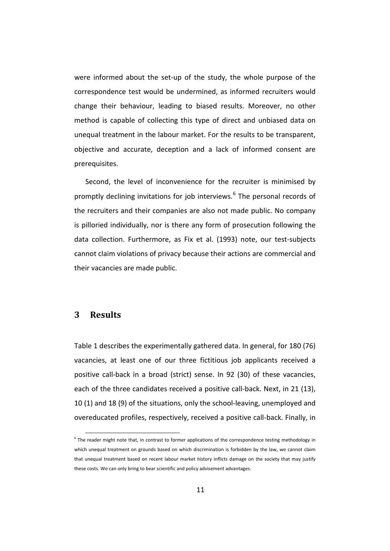were informed about the set-up of the study, the whole purpose of the correspondence test would be undermined, as informed recruiters would change their behaviour, leading to biased results. Moreover, no other method is capable of collecting this type of direct and unbiased data on unequal treatment in the labour market. For the results to be transparent, objective and accurate, deception and a lack of informed consent are prerequisites.

Second, the level of inconvenience for the recruiter is minimised by promptly declining invitations for job interviews.<sup>[6](#page-9-0)</sup> The personal records of the recruiters and their companies are also not made public. No company is pilloried individually, nor is there any form of prosecution following the data collection. Furthermore, as Fix et al. (1993) note, our test-subjects cannot claim violations of privacy because their actions are commercial and their vacancies are made public.

## **3 Results**

Table 1 describes the experimentally gathered data. In general, for 180 (76) vacancies, at least one of our three fictitious job applicants received a positive call-back in a broad (strict) sense. In 92 (30) of these vacancies, each of the three candidates received a positive call-back. Next, in 21 (13), 10 (1) and 18 (9) of the situations, only the school-leaving, unemployed and overeducated profiles, respectively, received a positive call-back. Finally, in

<span id="page-12-0"></span> <sup>6</sup> The reader might note that, in contrast to former applications of the correspondence testing methodology in which unequal treatment on grounds based on which discrimination is forbidden by the law, we cannot claim that unequal treatment based on recent labour market history inflicts damage on the society that may justify these costs. We can only bring to bear scientific and policy advisement advantages.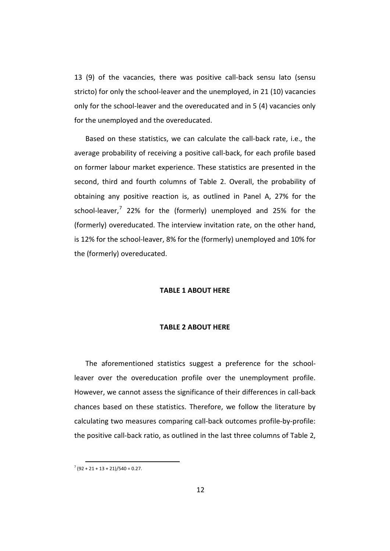13 (9) of the vacancies, there was positive call-back sensu lato (sensu stricto) for only the school-leaver and the unemployed, in 21 (10) vacancies only for the school-leaver and the overeducated and in 5 (4) vacancies only for the unemployed and the overeducated.

Based on these statistics, we can calculate the call-back rate, i.e., the average probability of receiving a positive call-back, for each profile based on former labour market experience. These statistics are presented in the second, third and fourth columns of Table 2. Overall, the probability of obtaining any positive reaction is, as outlined in Panel A, 27% for the school-leaver, $7$  22% for the (formerly) unemployed and 25% for the (formerly) overeducated. The interview invitation rate, on the other hand, is 12% for the school-leaver, 8% for the (formerly) unemployed and 10% for the (formerly) overeducated.

#### **TABLE 1 ABOUT HERE**

#### **TABLE 2 ABOUT HERE**

The aforementioned statistics suggest a preference for the schoolleaver over the overeducation profile over the unemployment profile. However, we cannot assess the significance of their differences in call-back chances based on these statistics. Therefore, we follow the literature by calculating two measures comparing call-back outcomes profile-by-profile: the positive call-back ratio, as outlined in the last three columns of Table 2,

 $7(92 + 21 + 13 + 21)/540 = 0.27$ .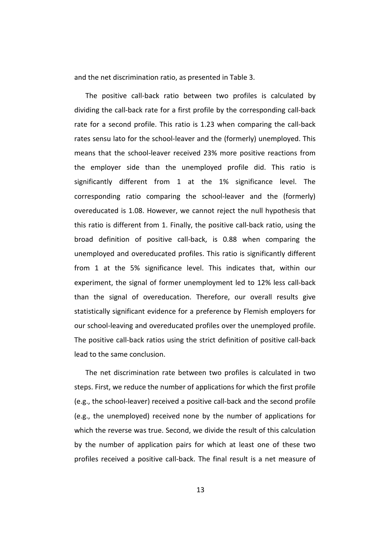and the net discrimination ratio, as presented in Table 3.

The positive call-back ratio between two profiles is calculated by dividing the call-back rate for a first profile by the corresponding call-back rate for a second profile. This ratio is 1.23 when comparing the call-back rates sensu lato for the school-leaver and the (formerly) unemployed. This means that the school-leaver received 23% more positive reactions from the employer side than the unemployed profile did. This ratio is significantly different from 1 at the 1% significance level. The corresponding ratio comparing the school-leaver and the (formerly) overeducated is 1.08. However, we cannot reject the null hypothesis that this ratio is different from 1. Finally, the positive call-back ratio, using the broad definition of positive call-back, is 0.88 when comparing the unemployed and overeducated profiles. This ratio is significantly different from 1 at the 5% significance level. This indicates that, within our experiment, the signal of former unemployment led to 12% less call-back than the signal of overeducation. Therefore, our overall results give statistically significant evidence for a preference by Flemish employers for our school-leaving and overeducated profiles over the unemployed profile. The positive call-back ratios using the strict definition of positive call-back lead to the same conclusion.

The net discrimination rate between two profiles is calculated in two steps. First, we reduce the number of applications for which the first profile (e.g., the school-leaver) received a positive call-back and the second profile (e.g., the unemployed) received none by the number of applications for which the reverse was true. Second, we divide the result of this calculation by the number of application pairs for which at least one of these two profiles received a positive call-back. The final result is a net measure of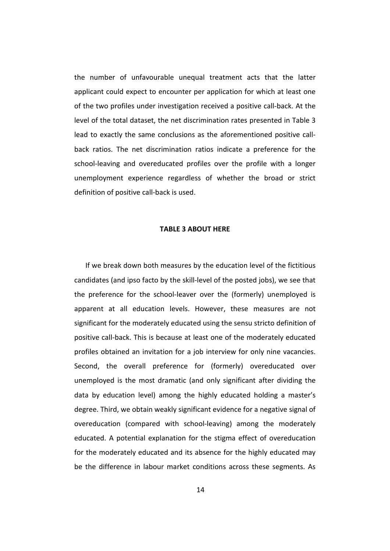the number of unfavourable unequal treatment acts that the latter applicant could expect to encounter per application for which at least one of the two profiles under investigation received a positive call-back. At the level of the total dataset, the net discrimination rates presented in Table 3 lead to exactly the same conclusions as the aforementioned positive callback ratios. The net discrimination ratios indicate a preference for the school-leaving and overeducated profiles over the profile with a longer unemployment experience regardless of whether the broad or strict definition of positive call-back is used.

#### **TABLE 3 ABOUT HERE**

If we break down both measures by the education level of the fictitious candidates (and ipso facto by the skill-level of the posted jobs), we see that the preference for the school-leaver over the (formerly) unemployed is apparent at all education levels. However, these measures are not significant for the moderately educated using the sensu stricto definition of positive call-back. This is because at least one of the moderately educated profiles obtained an invitation for a job interview for only nine vacancies. Second, the overall preference for (formerly) overeducated over unemployed is the most dramatic (and only significant after dividing the data by education level) among the highly educated holding a master's degree. Third, we obtain weakly significant evidence for a negative signal of overeducation (compared with school-leaving) among the moderately educated. A potential explanation for the stigma effect of overeducation for the moderately educated and its absence for the highly educated may be the difference in labour market conditions across these segments. As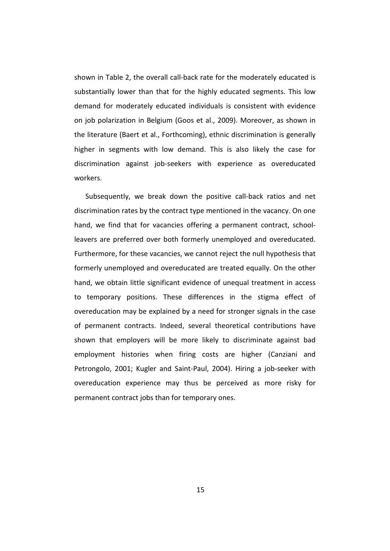shown in Table 2, the overall call-back rate for the moderately educated is substantially lower than that for the highly educated segments. This low demand for moderately educated individuals is consistent with evidence on job polarization in Belgium (Goos et al., 2009). Moreover, as shown in the literature (Baert et al., Forthcoming), ethnic discrimination is generally higher in segments with low demand. This is also likely the case for discrimination against job-seekers with experience as overeducated workers.

Subsequently, we break down the positive call-back ratios and net discrimination rates by the contract type mentioned in the vacancy. On one hand, we find that for vacancies offering a permanent contract, schoolleavers are preferred over both formerly unemployed and overeducated. Furthermore, for these vacancies, we cannot reject the null hypothesis that formerly unemployed and overeducated are treated equally. On the other hand, we obtain little significant evidence of unequal treatment in access to temporary positions. These differences in the stigma effect of overeducation may be explained by a need for stronger signals in the case of permanent contracts. Indeed, several theoretical contributions have shown that employers will be more likely to discriminate against bad employment histories when firing costs are higher (Canziani and Petrongolo, 2001; Kugler and Saint-Paul, 2004). Hiring a job-seeker with overeducation experience may thus be perceived as more risky for permanent contract jobs than for temporary ones.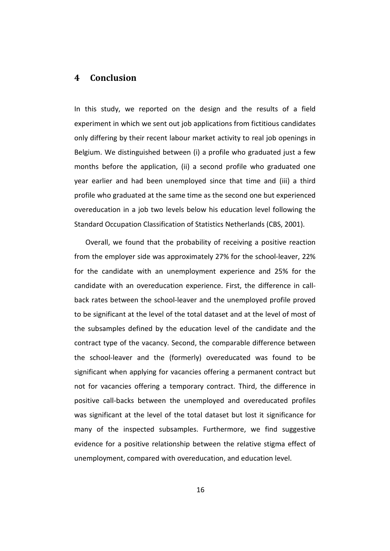## **4 Conclusion**

In this study, we reported on the design and the results of a field experiment in which we sent out job applications from fictitious candidates only differing by their recent labour market activity to real job openings in Belgium. We distinguished between (i) a profile who graduated just a few months before the application, (ii) a second profile who graduated one year earlier and had been unemployed since that time and (iii) a third profile who graduated at the same time as the second one but experienced overeducation in a job two levels below his education level following the Standard Occupation Classification of Statistics Netherlands (CBS, 2001).

Overall, we found that the probability of receiving a positive reaction from the employer side was approximately 27% for the school-leaver, 22% for the candidate with an unemployment experience and 25% for the candidate with an overeducation experience. First, the difference in callback rates between the school-leaver and the unemployed profile proved to be significant at the level of the total dataset and at the level of most of the subsamples defined by the education level of the candidate and the contract type of the vacancy. Second, the comparable difference between the school-leaver and the (formerly) overeducated was found to be significant when applying for vacancies offering a permanent contract but not for vacancies offering a temporary contract. Third, the difference in positive call-backs between the unemployed and overeducated profiles was significant at the level of the total dataset but lost it significance for many of the inspected subsamples. Furthermore, we find suggestive evidence for a positive relationship between the relative stigma effect of unemployment, compared with overeducation, and education level.

16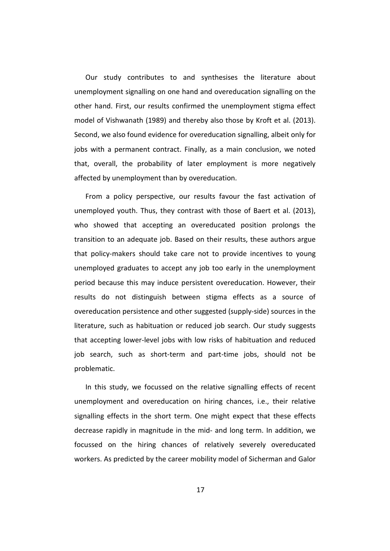Our study contributes to and synthesises the literature about unemployment signalling on one hand and overeducation signalling on the other hand. First, our results confirmed the unemployment stigma effect model of Vishwanath (1989) and thereby also those by Kroft et al. (2013). Second, we also found evidence for overeducation signalling, albeit only for jobs with a permanent contract. Finally, as a main conclusion, we noted that, overall, the probability of later employment is more negatively affected by unemployment than by overeducation.

From a policy perspective, our results favour the fast activation of unemployed youth. Thus, they contrast with those of Baert et al. (2013), who showed that accepting an overeducated position prolongs the transition to an adequate job. Based on their results, these authors argue that policy-makers should take care not to provide incentives to young unemployed graduates to accept any job too early in the unemployment period because this may induce persistent overeducation. However, their results do not distinguish between stigma effects as a source of overeducation persistence and other suggested (supply-side) sources in the literature, such as habituation or reduced job search. Our study suggests that accepting lower-level jobs with low risks of habituation and reduced job search, such as short-term and part-time jobs, should not be problematic.

In this study, we focussed on the relative signalling effects of recent unemployment and overeducation on hiring chances, i.e., their relative signalling effects in the short term. One might expect that these effects decrease rapidly in magnitude in the mid- and long term. In addition, we focussed on the hiring chances of relatively severely overeducated workers. As predicted by the career mobility model of Sicherman and Galor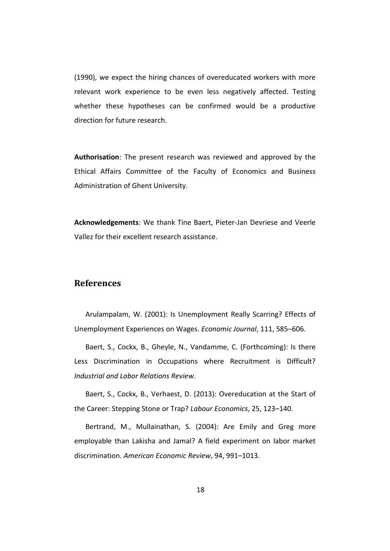(1990), we expect the hiring chances of overeducated workers with more relevant work experience to be even less negatively affected. Testing whether these hypotheses can be confirmed would be a productive direction for future research.

**Authorisation**: The present research was reviewed and approved by the Ethical Affairs Committee of the Faculty of Economics and Business Administration of Ghent University.

**Acknowledgements**: We thank Tine Baert, Pieter-Jan Devriese and Veerle Vallez for their excellent research assistance.

# **References**

Arulampalam, W. (2001): Is Unemployment Really Scarring? Effects of Unemployment Experiences on Wages. *Economic Journal*, 111, 585–606.

Baert, S., Cockx, B., Gheyle, N., Vandamme, C. (Forthcoming): Is there Less Discrimination in Occupations where Recruitment is Difficult? *Industrial and Labor Relations Review*.

Baert, S., Cockx, B., Verhaest, D. (2013): Overeducation at the Start of the Career: Stepping Stone or Trap? *Labour Economics*, 25, 123–140.

Bertrand, M., Mullainathan, S. (2004): Are Emily and Greg more employable than Lakisha and Jamal? A field experiment on labor market discrimination. *American Economic Review*, 94, 991–1013.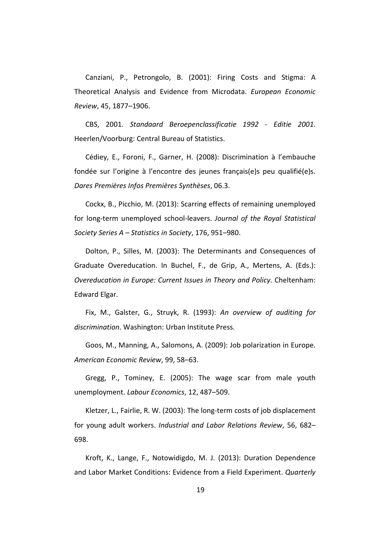Canziani, P., Petrongolo, B. (2001): Firing Costs and Stigma: A Theoretical Analysis and Evidence from Microdata. *European Economic Review*, 45, 1877–1906.

CBS, 2001. *Standaard Beroepenclassificatie 1992 - Editie 2001*. Heerlen/Voorburg: Central Bureau of Statistics.

Cédiey, E., Foroni, F., Garner, H. (2008): Discrimination à l'embauche fondée sur l'origine à l'encontre des jeunes français(e)s peu qualifié(e)s. *Dares Premières Infos Premières Synthèses*, 06.3.

Cockx, B., Picchio, M. (2013): Scarring effects of remaining unemployed for long-term unemployed school-leavers. *Journal of the Royal Statistical Society Series A – Statistics in Society*, 176, 951–980.

Dolton, P., Silles, M. (2003): The Determinants and Consequences of Graduate Overeducation. In Buchel, F., de Grip, A., Mertens, A. (Eds.): *Overeducation in Europe: Current Issues in Theory and Policy*. Cheltenham: Edward Elgar.

Fix, M., Galster, G., Struyk, R. (1993): *An overview of auditing for discrimination*. Washington: Urban Institute Press.

Goos, M., Manning, A., Salomons, A. (2009): Job polarization in Europe. *American Economic Review*, 99, 58–63.

Gregg, P., Tominey, E. (2005): The wage scar from male youth unemployment. *Labour Economics*, 12, 487–509.

Kletzer, L., Fairlie, R. W. (2003): The long-term costs of job displacement for young adult workers. *Industrial and Labor Relations Review*, 56, 682– 698.

Kroft, K., Lange, F., Notowidigdo, M. J. (2013): Duration Dependence and Labor Market Conditions: Evidence from a Field Experiment. *Quarterly*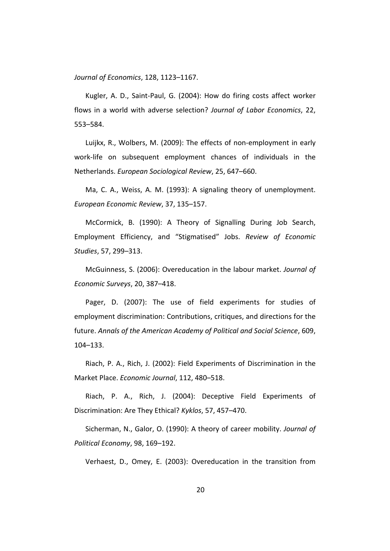*Journal of Economics*, 128, 1123–1167.

Kugler, A. D., Saint-Paul, G. (2004): How do firing costs affect worker flows in a world with adverse selection? *Journal of Labor Economics*, 22, 553–584.

Luijkx, R., Wolbers, M. (2009): The effects of non-employment in early work-life on subsequent employment chances of individuals in the Netherlands. *European Sociological Review*, 25, 647–660.

Ma, C. A., Weiss, A. M. (1993): A signaling theory of unemployment. *European Economic Review*, 37, 135–157.

McCormick, B. (1990): A Theory of Signalling During Job Search, Employment Efficiency, and "Stigmatised" Jobs. *Review of Economic Studies*, 57, 299–313.

McGuinness, S. (2006): Overeducation in the labour market. *Journal of Economic Surveys*, 20, 387–418.

Pager, D. (2007): The use of field experiments for studies of employment discrimination: Contributions, critiques, and directions for the future. *Annals of the American Academy of Political and Social Science*, 609, 104–133.

Riach, P. A., Rich, J. (2002): Field Experiments of Discrimination in the Market Place. *Economic Journal*, 112, 480–518.

Riach, P. A., Rich, J. (2004): Deceptive Field Experiments of Discrimination: Are They Ethical? *Kyklos*, 57, 457–470.

Sicherman, N., Galor, O. (1990): A theory of career mobility. *Journal of Political Economy*, 98, 169–192.

Verhaest, D., Omey, E. (2003): Overeducation in the transition from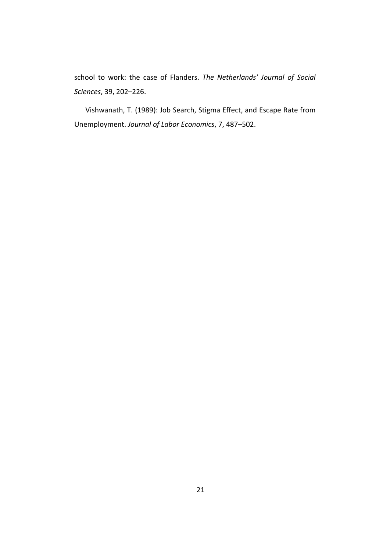school to work: the case of Flanders. *The Netherlands' Journal of Social Sciences*, 39, 202–226.

Vishwanath, T. (1989): Job Search, Stigma Effect, and Escape Rate from Unemployment. *Journal of Labor Economics*, 7, 487–502.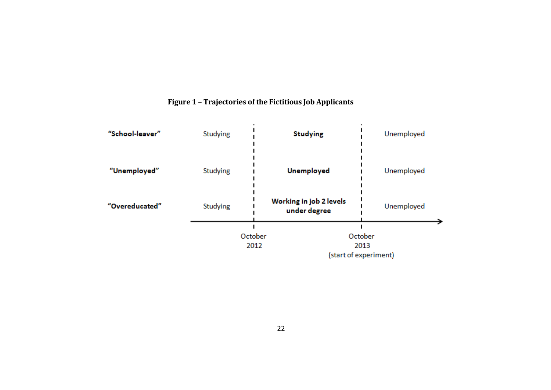

# **Figure 1 – Trajectories of the Fictitious Job Applicants**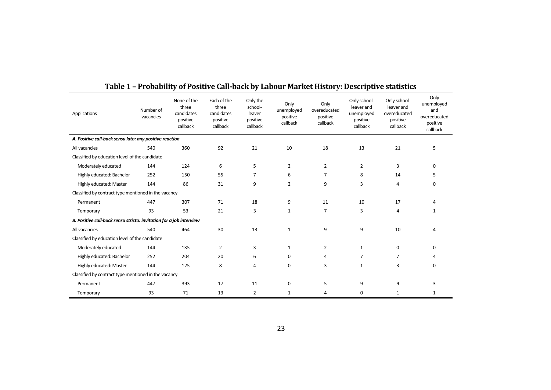| Applications                                                        | Number of<br>vacancies | None of the<br>three<br>candidates<br>positive<br>callback | Each of the<br>three<br>candidates<br>positive<br>callback | Only the<br>school-<br>leaver<br>positive<br>callback | Only<br>unemployed<br>positive<br>callback | Only<br>overeducated<br>positive<br>callback | Only school-<br>leaver and<br>unemployed<br>positive<br>callback | Only school-<br>leaver and<br>overeducated<br>positive<br>callback | Only<br>unemployed<br>and<br>overeducated<br>positive<br>callback |
|---------------------------------------------------------------------|------------------------|------------------------------------------------------------|------------------------------------------------------------|-------------------------------------------------------|--------------------------------------------|----------------------------------------------|------------------------------------------------------------------|--------------------------------------------------------------------|-------------------------------------------------------------------|
| A. Positive call-back sensu lato: any positive reaction             |                        |                                                            |                                                            |                                                       |                                            |                                              |                                                                  |                                                                    |                                                                   |
| All vacancies                                                       | 540                    | 360                                                        | 92                                                         | 21                                                    | 10                                         | 18                                           | 13                                                               | 21                                                                 | 5                                                                 |
| Classified by education level of the candidate                      |                        |                                                            |                                                            |                                                       |                                            |                                              |                                                                  |                                                                    |                                                                   |
| Moderately educated                                                 | 144                    | 124                                                        | 6                                                          | 5                                                     | $\overline{2}$                             | $\overline{2}$                               | $\overline{2}$                                                   | 3                                                                  | 0                                                                 |
| Highly educated: Bachelor                                           | 252                    | 150                                                        | 55                                                         | 7                                                     | 6                                          | 7                                            | 8                                                                | 14                                                                 | 5                                                                 |
| Highly educated: Master                                             | 144                    | 86                                                         | 31                                                         | 9                                                     | $\overline{2}$                             | 9                                            | 3                                                                | $\overline{4}$                                                     | 0                                                                 |
| Classified by contract type mentioned in the vacancy                |                        |                                                            |                                                            |                                                       |                                            |                                              |                                                                  |                                                                    |                                                                   |
| Permanent                                                           | 447                    | 307                                                        | 71                                                         | 18                                                    | 9                                          | 11                                           | 10                                                               | 17                                                                 |                                                                   |
| Temporary                                                           | 93                     | 53                                                         | 21                                                         | 3                                                     | $\mathbf{1}$                               | 7                                            | 3                                                                | 4                                                                  | 1                                                                 |
| B. Positive call-back sensu stricto: invitation for a job interview |                        |                                                            |                                                            |                                                       |                                            |                                              |                                                                  |                                                                    |                                                                   |
| All vacancies                                                       | 540                    | 464                                                        | 30                                                         | 13                                                    | 1                                          | 9                                            | 9                                                                | 10                                                                 | 4                                                                 |
| Classified by education level of the candidate                      |                        |                                                            |                                                            |                                                       |                                            |                                              |                                                                  |                                                                    |                                                                   |
| Moderately educated                                                 | 144                    | 135                                                        | 2                                                          | 3                                                     | $\mathbf{1}$                               | 2                                            | 1                                                                | 0                                                                  | 0                                                                 |
| Highly educated: Bachelor                                           | 252                    | 204                                                        | 20                                                         | 6                                                     | 0                                          | 4                                            | 7                                                                | 7                                                                  |                                                                   |
| Highly educated: Master                                             | 144                    | 125                                                        | 8                                                          | 4                                                     | 0                                          | 3                                            | $\mathbf{1}$                                                     | 3                                                                  | 0                                                                 |
| Classified by contract type mentioned in the vacancy                |                        |                                                            |                                                            |                                                       |                                            |                                              |                                                                  |                                                                    |                                                                   |
| Permanent                                                           | 447                    | 393                                                        | 17                                                         | 11                                                    | 0                                          | 5                                            | 9                                                                | 9                                                                  | 3                                                                 |
| Temporary                                                           | 93                     | 71                                                         | 13                                                         | $\overline{2}$                                        | $\mathbf{1}$                               | 4                                            | 0                                                                | 1                                                                  | 1                                                                 |

# **Table 1 – Probability of Positive Call-back by Labour Market History: Descriptive statistics**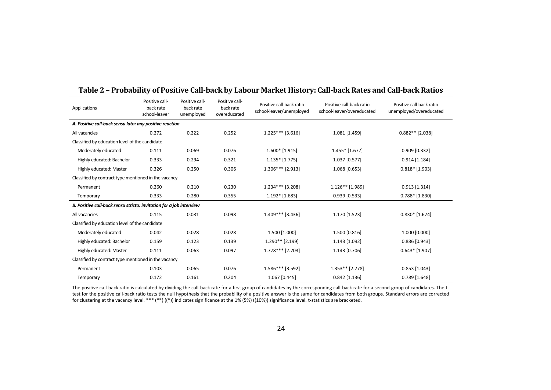| Applications                                                        | Positive call-<br>back rate<br>school-leaver | Positive call-<br>back rate<br>unemployed | Positive call-<br>back rate<br>overeducated | Positive call-back ratio<br>school-leaver/unemployed | Positive call-back ratio<br>school-leaver/overeducated | Positive call-back ratio<br>unemployed/overeducated |  |
|---------------------------------------------------------------------|----------------------------------------------|-------------------------------------------|---------------------------------------------|------------------------------------------------------|--------------------------------------------------------|-----------------------------------------------------|--|
| A. Positive call-back sensu lato: any positive reaction             |                                              |                                           |                                             |                                                      |                                                        |                                                     |  |
| All vacancies                                                       | 0.272                                        | 0.222                                     | 0.252                                       | $1.225***$ [3.616]                                   | 1.081 [1.459]                                          | $0.882**$ [2.038]                                   |  |
| Classified by education level of the candidate                      |                                              |                                           |                                             |                                                      |                                                        |                                                     |  |
| Moderately educated                                                 | 0.111                                        | 0.069                                     | 0.076                                       | $1.600*$ [1.915]                                     | $1.455*$ [1.677]                                       | $0.909$ [0.332]                                     |  |
| Highly educated: Bachelor                                           | 0.333                                        | 0.294                                     | 0.321                                       | $1.135*$ [1.775]                                     | 1.037 [0.577]                                          | $0.914$ [1.184]                                     |  |
| Highly educated: Master                                             | 0.326                                        | 0.250                                     | 0.306                                       | $1.306***$ [2.913]                                   | 1.068 [0.653]                                          | $0.818*$ [1.903]                                    |  |
| Classified by contract type mentioned in the vacancy                |                                              |                                           |                                             |                                                      |                                                        |                                                     |  |
| Permanent                                                           | 0.260                                        | 0.210                                     | 0.230                                       | 1.234*** [3.208]                                     | 1.126** [1.989]                                        | $0.913$ [1.314]                                     |  |
| Temporary                                                           | 0.333                                        | 0.280                                     | 0.355                                       | $1.192*$ [1.683]                                     | $0.939$ [0.533]                                        | $0.788*$ [1.830]                                    |  |
| B. Positive call-back sensu stricto: invitation for a job interview |                                              |                                           |                                             |                                                      |                                                        |                                                     |  |
| All vacancies                                                       | 0.115                                        | 0.081                                     | 0.098                                       | 1.409*** [3.436]                                     | 1.170 [1.523]                                          | $0.830*$ [1.674]                                    |  |
| Classified by education level of the candidate                      |                                              |                                           |                                             |                                                      |                                                        |                                                     |  |
| Moderately educated                                                 | 0.042                                        | 0.028                                     | 0.028                                       | 1.500 [1.000]                                        | 1.500 [0.816]                                          | 1.000 [0.000]                                       |  |
| Highly educated: Bachelor                                           | 0.159                                        | 0.123                                     | 0.139                                       | 1.290** [2.199]                                      | 1.143 [1.092]                                          | $0.886$ [0.943]                                     |  |
| Highly educated: Master                                             | 0.111                                        | 0.063                                     | 0.097                                       | 1.778*** [2.703]                                     | 1.143 [0.706]                                          | $0.643*$ [1.907]                                    |  |
| Classified by contract type mentioned in the vacancy                |                                              |                                           |                                             |                                                      |                                                        |                                                     |  |
| Permanent                                                           | 0.103                                        | 0.065                                     | 0.076                                       | 1.586*** [3.592]                                     | $1.353**$ [2.278]                                      | $0.853$ [1.043]                                     |  |
| Temporary                                                           | 0.172                                        | 0.161                                     | 0.204                                       | 1.067 [0.445]                                        | $0.842$ [1.136]                                        | $0.789$ [1.648]                                     |  |

## **Table 2 – Probability of Positive Call-back by Labour Market History: Call-back Rates and Call-back Ratios**

The positive call-back ratio is calculated by dividing the call-back rate for a first group of candidates by the corresponding call-back rate for a second group of candidates. The ttest for the positive call-back ratio tests the null hypothesis that the probability of a positive answer is the same for candidates from both groups. Standard errors are corrected for clustering at the vacancy level. \*\*\* (\*\*) ((\*)) indicates significance at the 1% (5%) ((10%)) significance level. t-statistics are bracketed.